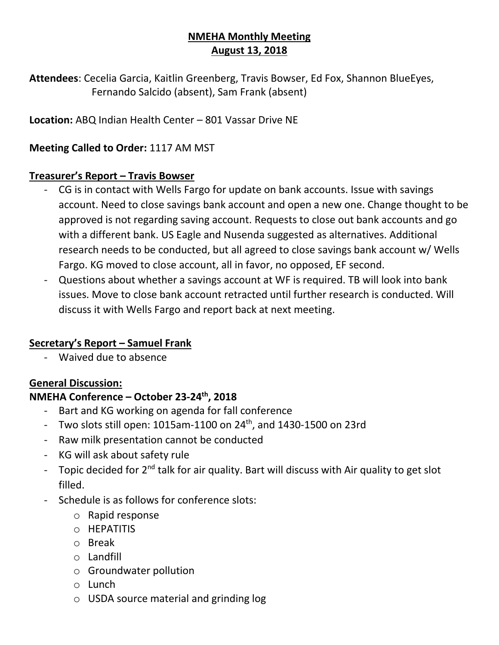## **NMEHA Monthly Meeting August 13, 2018**

**Attendees**: Cecelia Garcia, Kaitlin Greenberg, Travis Bowser, Ed Fox, Shannon BlueEyes, Fernando Salcido (absent), Sam Frank (absent)

**Location:** ABQ Indian Health Center – 801 Vassar Drive NE

### **Meeting Called to Order:** 1117 AM MST

#### **Treasurer's Report – Travis Bowser**

- CG is in contact with Wells Fargo for update on bank accounts. Issue with savings account. Need to close savings bank account and open a new one. Change thought to be approved is not regarding saving account. Requests to close out bank accounts and go with a different bank. US Eagle and Nusenda suggested as alternatives. Additional research needs to be conducted, but all agreed to close savings bank account w/ Wells Fargo. KG moved to close account, all in favor, no opposed, EF second.
- Questions about whether a savings account at WF is required. TB will look into bank issues. Move to close bank account retracted until further research is conducted. Will discuss it with Wells Fargo and report back at next meeting.

### **Secretary's Report – Samuel Frank**

- Waived due to absence

### **General Discussion:**

### **NMEHA Conference – October 23-24th, 2018**

- Bart and KG working on agenda for fall conference
- Two slots still open:  $1015$ am- $1100$  on  $24$ <sup>th</sup>, and  $1430$ - $1500$  on  $23$ rd
- Raw milk presentation cannot be conducted
- KG will ask about safety rule
- Topic decided for  $2^{nd}$  talk for air quality. Bart will discuss with Air quality to get slot filled.
- Schedule is as follows for conference slots:
	- o Rapid response
	- o HEPATITIS
	- o Break
	- o Landfill
	- o Groundwater pollution
	- o Lunch
	- o USDA source material and grinding log